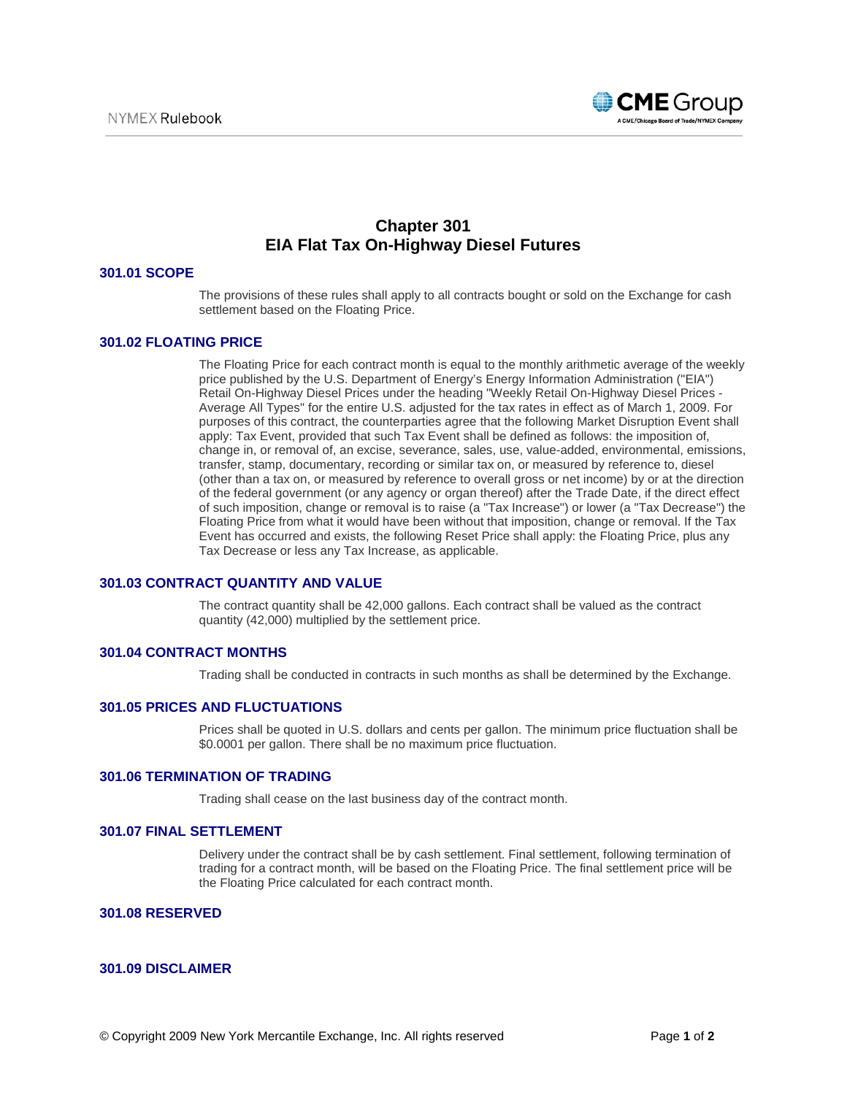

# **Chapter 301 EIA Flat Tax On-Highway Diesel Futures**

## **301.01 SCOPE**

The provisions of these rules shall apply to all contracts bought or sold on the Exchange for cash settlement based on the Floating Price.

## **301.02 FLOATING PRICE**

The Floating Price for each contract month is equal to the monthly arithmetic average of the weekly price published by the U.S. Department of Energy's Energy Information Administration ("EIA") Retail On-Highway Diesel Prices under the heading "Weekly Retail On-Highway Diesel Prices - Average All Types" for the entire U.S. adjusted for the tax rates in effect as of March 1, 2009. For purposes of this contract, the counterparties agree that the following Market Disruption Event shall apply: Tax Event, provided that such Tax Event shall be defined as follows: the imposition of, change in, or removal of, an excise, severance, sales, use, value-added, environmental, emissions, transfer, stamp, documentary, recording or similar tax on, or measured by reference to, diesel (other than a tax on, or measured by reference to overall gross or net income) by or at the direction of the federal government (or any agency or organ thereof) after the Trade Date, if the direct effect of such imposition, change or removal is to raise (a "Tax Increase") or lower (a "Tax Decrease") the Floating Price from what it would have been without that imposition, change or removal. If the Tax Event has occurred and exists, the following Reset Price shall apply: the Floating Price, plus any Tax Decrease or less any Tax Increase, as applicable.

## **301.03 CONTRACT QUANTITY AND VALUE**

The contract quantity shall be 42,000 gallons. Each contract shall be valued as the contract quantity (42,000) multiplied by the settlement price.

## **301.04 CONTRACT MONTHS**

Trading shall be conducted in contracts in such months as shall be determined by the Exchange.

## **301.05 PRICES AND FLUCTUATIONS**

Prices shall be quoted in U.S. dollars and cents per gallon. The minimum price fluctuation shall be \$0.0001 per gallon. There shall be no maximum price fluctuation.

## **301.06 TERMINATION OF TRADING**

Trading shall cease on the last business day of the contract month.

## **301.07 FINAL SETTLEMENT**

Delivery under the contract shall be by cash settlement. Final settlement, following termination of trading for a contract month, will be based on the Floating Price. The final settlement price will be the Floating Price calculated for each contract month.

# **301.08 RESERVED**

## **301.09 DISCLAIMER**